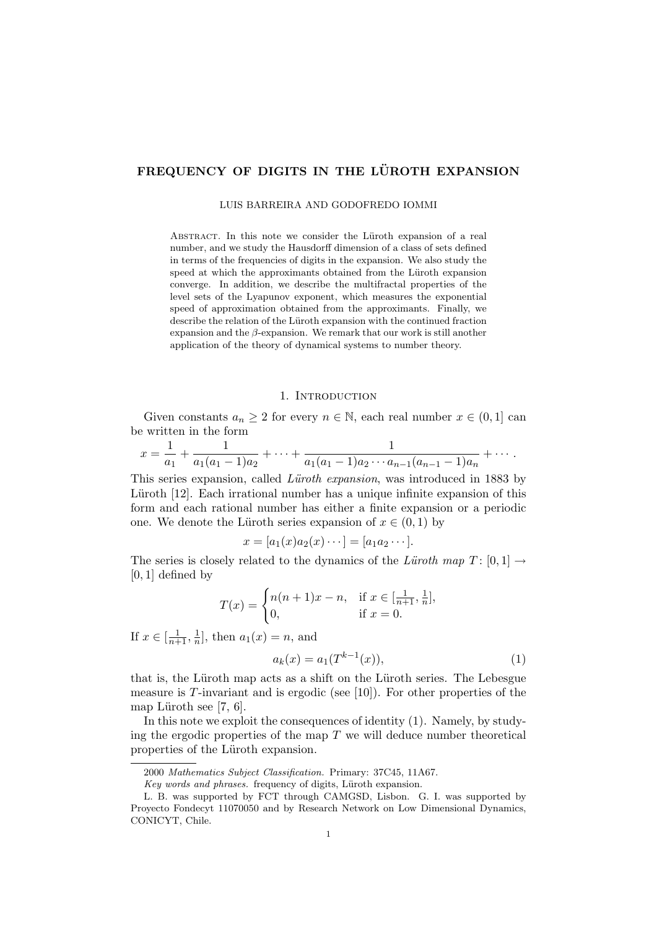# FREQUENCY OF DIGITS IN THE LÜROTH EXPANSION

LUIS BARREIRA AND GODOFREDO IOMMI

ABSTRACT. In this note we consider the Lüroth expansion of a real number, and we study the Hausdorff dimension of a class of sets defined in terms of the frequencies of digits in the expansion. We also study the speed at which the approximants obtained from the Lüroth expansion converge. In addition, we describe the multifractal properties of the level sets of the Lyapunov exponent, which measures the exponential speed of approximation obtained from the approximants. Finally, we describe the relation of the Lüroth expansion with the continued fraction expansion and the  $\beta$ -expansion. We remark that our work is still another application of the theory of dynamical systems to number theory.

#### 1. INTRODUCTION

Given constants  $a_n \geq 2$  for every  $n \in \mathbb{N}$ , each real number  $x \in (0,1]$  can be written in the form

$$
x = \frac{1}{a_1} + \frac{1}{a_1(a_1 - 1)a_2} + \cdots + \frac{1}{a_1(a_1 - 1)a_2 \cdots a_{n-1}(a_{n-1} - 1)a_n} + \cdots
$$

This series expansion, called *Lüroth expansion*, was introduced in 1883 by Lüroth [12]. Each irrational number has a unique infinite expansion of this form and each rational number has either a finite expansion or a periodic one. We denote the Lüroth series expansion of  $x \in (0,1)$  by

$$
x=[a_1(x)a_2(x)\cdots]=[a_1a_2\cdots].
$$

The series is closely related to the dynamics of the Lüroth map  $T: [0, 1] \rightarrow$  $[0, 1]$  defined by

$$
T(x) = \begin{cases} n(n+1)x - n, & \text{if } x \in [\frac{1}{n+1}, \frac{1}{n}], \\ 0, & \text{if } x = 0. \end{cases}
$$

If  $x \in [\frac{1}{n+1}, \frac{1}{n}]$  $\frac{1}{n}$ , then  $a_1(x) = n$ , and

$$
a_k(x) = a_1(T^{k-1}(x)),
$$
\n(1)

that is, the Lüroth map acts as a shift on the Lüroth series. The Lebesgue measure is  $T$ -invariant and is ergodic (see [10]). For other properties of the map Lüroth see  $[7, 6]$ .

In this note we exploit the consequences of identity (1). Namely, by studying the ergodic properties of the map  $T$  we will deduce number theoretical properties of the Lüroth expansion.

<sup>2000</sup> Mathematics Subject Classification. Primary: 37C45, 11A67.

Key words and phrases. frequency of digits, Lüroth expansion.

L. B. was supported by FCT through CAMGSD, Lisbon. G. I. was supported by Proyecto Fondecyt 11070050 and by Research Network on Low Dimensional Dynamics, CONICYT, Chile.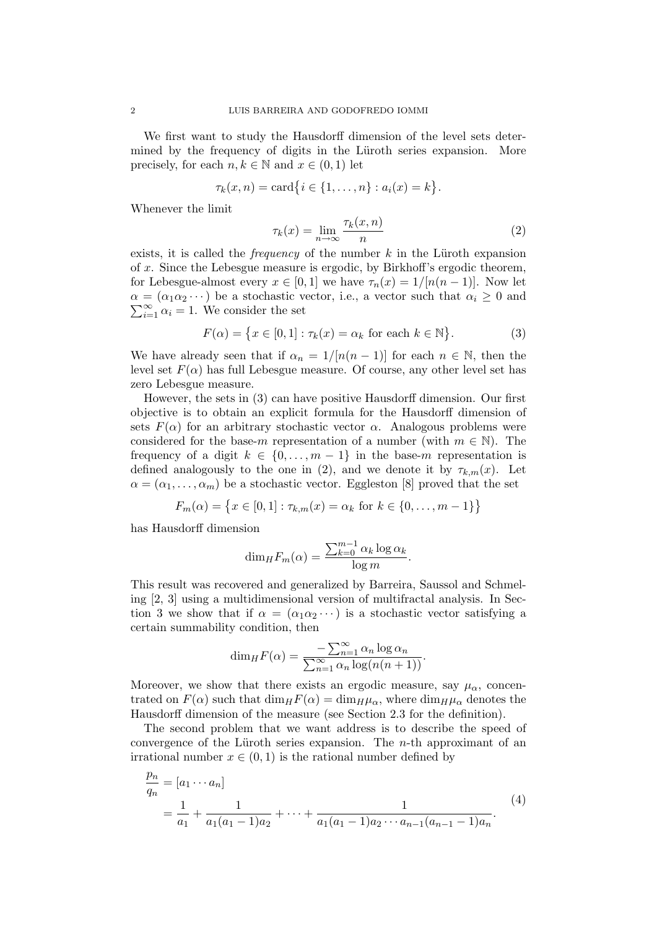We first want to study the Hausdorff dimension of the level sets determined by the frequency of digits in the Lüroth series expansion. More precisely, for each  $n, k \in \mathbb{N}$  and  $x \in (0, 1)$  let

$$
\tau_k(x, n) = \text{card}\{i \in \{1, ..., n\} : a_i(x) = k\}.
$$

Whenever the limit

$$
\tau_k(x) = \lim_{n \to \infty} \frac{\tau_k(x, n)}{n} \tag{2}
$$

exists, it is called the *frequency* of the number  $k$  in the Lüroth expansion of x. Since the Lebesgue measure is ergodic, by Birkhoff's ergodic theorem, for Lebesgue-almost every  $x \in [0,1]$  we have  $\tau_n(x) = 1/[n(n-1)]$ . Now let  $\alpha = (\alpha_1 \alpha_2 \cdots)$  be a stochastic vector, i.e., a vector such that  $\alpha_i \geq 0$  and  $\sum_{i=1}^{\infty} \alpha_i = 1$ . We consider the set

$$
F(\alpha) = \{x \in [0,1] : \tau_k(x) = \alpha_k \text{ for each } k \in \mathbb{N}\}.
$$
 (3)

We have already seen that if  $\alpha_n = 1/[n(n-1)]$  for each  $n \in \mathbb{N}$ , then the level set  $F(\alpha)$  has full Lebesgue measure. Of course, any other level set has zero Lebesgue measure.

However, the sets in (3) can have positive Hausdorff dimension. Our first objective is to obtain an explicit formula for the Hausdorff dimension of sets  $F(\alpha)$  for an arbitrary stochastic vector  $\alpha$ . Analogous problems were considered for the base-m representation of a number (with  $m \in \mathbb{N}$ ). The frequency of a digit  $k \in \{0, \ldots, m-1\}$  in the base-m representation is defined analogously to the one in (2), and we denote it by  $\tau_{k,m}(x)$ . Let  $\alpha = (\alpha_1, \ldots, \alpha_m)$  be a stochastic vector. Eggleston [8] proved that the set

$$
F_m(\alpha) = \{ x \in [0, 1] : \tau_{k,m}(x) = \alpha_k \text{ for } k \in \{0, \dots, m - 1\} \}
$$

has Hausdorff dimension

$$
\dim_H F_m(\alpha) = \frac{\sum_{k=0}^{m-1} \alpha_k \log \alpha_k}{\log m}.
$$

This result was recovered and generalized by Barreira, Saussol and Schmeling [2, 3] using a multidimensional version of multifractal analysis. In Section 3 we show that if  $\alpha = (\alpha_1 \alpha_2 \cdots)$  is a stochastic vector satisfying a certain summability condition, then

$$
\dim_H F(\alpha) = \frac{-\sum_{n=1}^{\infty} \alpha_n \log \alpha_n}{\sum_{n=1}^{\infty} \alpha_n \log(n(n+1))}.
$$

Moreover, we show that there exists an ergodic measure, say  $\mu_{\alpha}$ , concentrated on  $F(\alpha)$  such that  $\dim_H F(\alpha) = \dim_H \mu_\alpha$ , where  $\dim_H \mu_\alpha$  denotes the Hausdorff dimension of the measure (see Section 2.3 for the definition).

The second problem that we want address is to describe the speed of convergence of the Lüroth series expansion. The  $n$ -th approximant of an irrational number  $x \in (0,1)$  is the rational number defined by

$$
\frac{p_n}{q_n} = [a_1 \cdots a_n]
$$
\n
$$
= \frac{1}{a_1} + \frac{1}{a_1(a_1 - 1)a_2} + \cdots + \frac{1}{a_1(a_1 - 1)a_2 \cdots a_{n-1}(a_{n-1} - 1)a_n}.
$$
\n(4)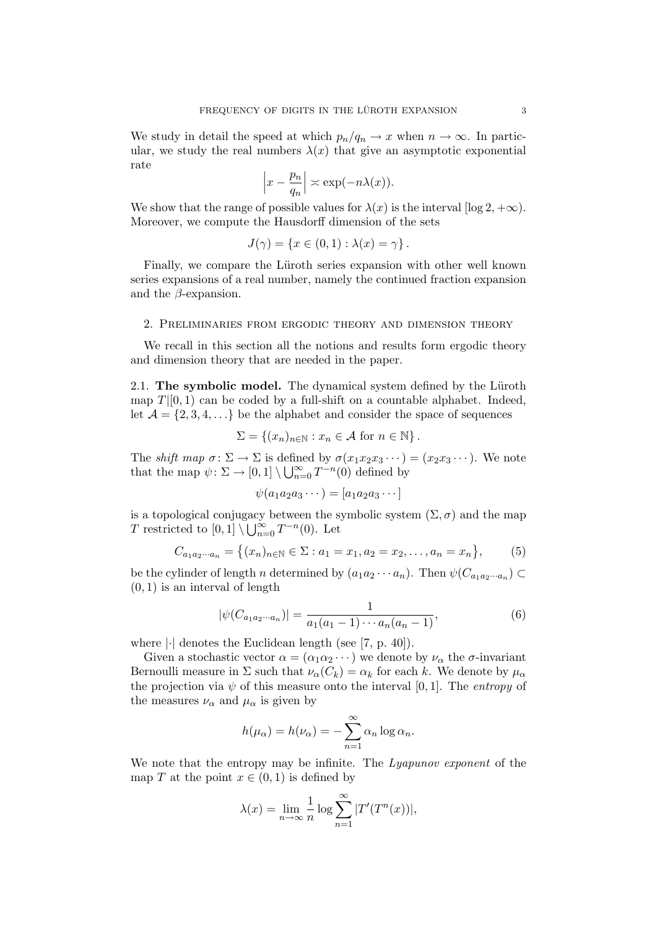We study in detail the speed at which  $p_n/q_n \to x$  when  $n \to \infty$ . In particular, we study the real numbers  $\lambda(x)$  that give an asymptotic exponential rate

$$
\left|x - \frac{p_n}{q_n}\right| \asymp \exp(-n\lambda(x)).
$$

We show that the range of possible values for  $\lambda(x)$  is the interval  $[\log 2, +\infty)$ . Moreover, we compute the Hausdorff dimension of the sets

$$
J(\gamma) = \{x \in (0,1) : \lambda(x) = \gamma\}.
$$

Finally, we compare the Lüroth series expansion with other well known series expansions of a real number, namely the continued fraction expansion and the  $\beta$ -expansion.

#### 2. Preliminaries from ergodic theory and dimension theory

We recall in this section all the notions and results form ergodic theory and dimension theory that are needed in the paper.

2.1. The symbolic model. The dynamical system defined by the Lüroth map  $T|[0,1)$  can be coded by a full-shift on a countable alphabet. Indeed, let  $\mathcal{A} = \{2, 3, 4, \ldots\}$  be the alphabet and consider the space of sequences

$$
\Sigma = \{(x_n)_{n \in \mathbb{N}} : x_n \in \mathcal{A} \text{ for } n \in \mathbb{N}\}.
$$

The shift map  $\sigma \colon \Sigma \to \Sigma$  is defined by  $\sigma(x_1x_2x_3\cdots)=(x_2x_3\cdots)$ . We note that the map  $\psi \colon \Sigma \to [0,1] \setminus \bigcup_{n=0}^{\infty} T^{-n}(0)$  defined by

$$
\psi(a_1a_2a_3\cdots) = [a_1a_2a_3\cdots]
$$

is a topological conjugacy between the symbolic system  $(\Sigma, \sigma)$  and the map T restricted to  $[0,1] \setminus \bigcup_{n=0}^{\infty} T^{-n}(0)$ . Let

$$
C_{a_1a_2\cdots a_n} = \{(x_n)_{n \in \mathbb{N}} \in \Sigma : a_1 = x_1, a_2 = x_2, \ldots, a_n = x_n\},\tag{5}
$$

be the cylinder of length n determined by  $(a_1a_2\cdots a_n)$ . Then  $\psi(C_{a_1a_2\cdots a_n})\subset$  $(0, 1)$  is an interval of length

$$
|\psi(C_{a_1a_2\cdots a_n})| = \frac{1}{a_1(a_1 - 1)\cdots a_n(a_n - 1)},
$$
\n(6)

where  $|\cdot|$  denotes the Euclidean length (see [7, p. 40]).

Given a stochastic vector  $\alpha = (\alpha_1 \alpha_2 \cdots)$  we denote by  $\nu_\alpha$  the  $\sigma$ -invariant Bernoulli measure in  $\Sigma$  such that  $\nu_{\alpha}(C_k) = \alpha_k$  for each k. We denote by  $\mu_{\alpha}$ the projection via  $\psi$  of this measure onto the interval [0, 1]. The entropy of the measures  $\nu_{\alpha}$  and  $\mu_{\alpha}$  is given by

$$
h(\mu_{\alpha}) = h(\nu_{\alpha}) = -\sum_{n=1}^{\infty} \alpha_n \log \alpha_n.
$$

We note that the entropy may be infinite. The Lyapunov exponent of the map T at the point  $x \in (0,1)$  is defined by

$$
\lambda(x) = \lim_{n \to \infty} \frac{1}{n} \log \sum_{n=1}^{\infty} |T'(T^n(x))|,
$$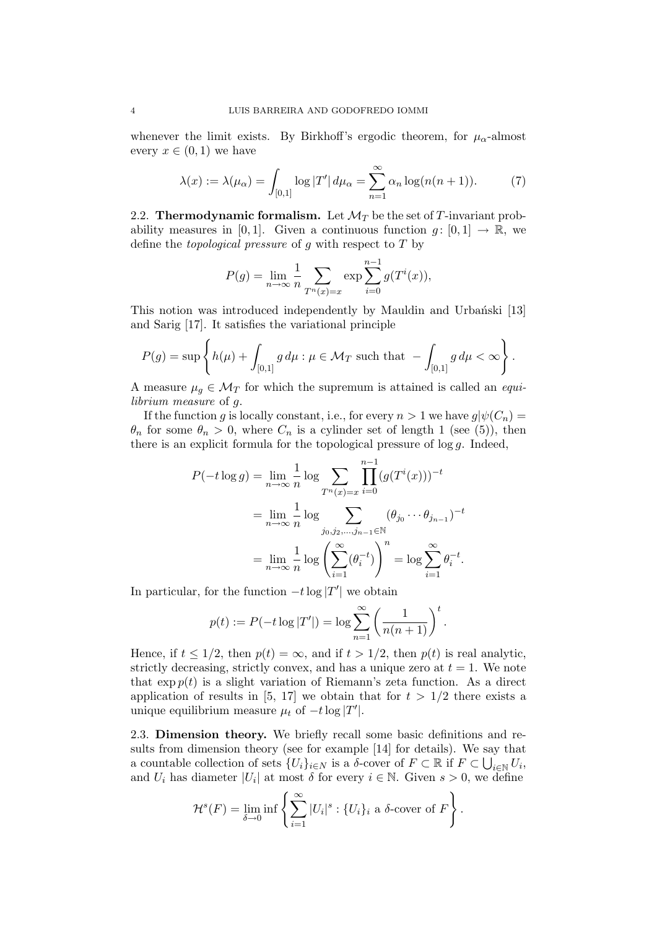whenever the limit exists. By Birkhoff's ergodic theorem, for  $\mu_{\alpha}$ -almost every  $x \in (0,1)$  we have

$$
\lambda(x) := \lambda(\mu_{\alpha}) = \int_{[0,1]} \log |T'| d\mu_{\alpha} = \sum_{n=1}^{\infty} \alpha_n \log(n(n+1)). \tag{7}
$$

2.2. Thermodynamic formalism. Let  $\mathcal{M}_T$  be the set of T-invariant probability measures in [0, 1]. Given a continuous function  $g: [0, 1] \to \mathbb{R}$ , we define the *topological pressure* of g with respect to  $T$  by

$$
P(g) = \lim_{n \to \infty} \frac{1}{n} \sum_{T^n(x) = x} \exp \sum_{i=0}^{n-1} g(T^i(x)),
$$

This notion was introduced independently by Mauldin and Urbański [13] and Sarig [17]. It satisfies the variational principle

$$
P(g) = \sup \left\{ h(\mu) + \int_{[0,1]} g d\mu : \mu \in \mathcal{M}_T \text{ such that } - \int_{[0,1]} g d\mu < \infty \right\}.
$$

A measure  $\mu_g \in \mathcal{M}_T$  for which the supremum is attained is called an *equi*librium measure of g.

If the function g is locally constant, i.e., for every  $n > 1$  we have  $g|\psi(C_n) =$  $\theta_n$  for some  $\theta_n > 0$ , where  $C_n$  is a cylinder set of length 1 (see (5)), then there is an explicit formula for the topological pressure of  $log\ g$ . Indeed,

$$
P(-t \log g) = \lim_{n \to \infty} \frac{1}{n} \log \sum_{T^n(x) = x} \prod_{i=0}^{n-1} (g(T^i(x)))^{-t}
$$
  
= 
$$
\lim_{n \to \infty} \frac{1}{n} \log \sum_{j_0, j_2, \dots, j_{n-1} \in \mathbb{N}} (\theta_{j_0} \cdots \theta_{j_{n-1}})^{-t}
$$
  
= 
$$
\lim_{n \to \infty} \frac{1}{n} \log \left( \sum_{i=1}^{\infty} (\theta_i^{-t}) \right)^n = \log \sum_{i=1}^{\infty} \theta_i^{-t}.
$$

In particular, for the function  $-t \log |T'|$  we obtain

$$
p(t) := P(-t \log |T'|) = \log \sum_{n=1}^{\infty} \left( \frac{1}{n(n+1)} \right)^t.
$$

Hence, if  $t \leq 1/2$ , then  $p(t) = \infty$ , and if  $t > 1/2$ , then  $p(t)$  is real analytic, strictly decreasing, strictly convex, and has a unique zero at  $t = 1$ . We note that  $\exp p(t)$  is a slight variation of Riemann's zeta function. As a direct application of results in [5, 17] we obtain that for  $t > 1/2$  there exists a unique equilibrium measure  $\mu_t$  of  $-t \log |T'|$ .

2.3. Dimension theory. We briefly recall some basic definitions and results from dimension theory (see for example [14] for details). We say that a countable collection of sets  $\{U_i\}_{i\in N}$  is a  $\delta$ -cover of  $F\subset \mathbb{R}$  if  $F\subset \bigcup_{i\in \mathbb{N}} U_i$ , and  $U_i$  has diameter  $|U_i|$  at most  $\delta$  for every  $i \in \mathbb{N}$ . Given  $s > 0$ , we define

$$
\mathcal{H}^s(F) = \lim_{\delta \to 0} \inf \left\{ \sum_{i=1}^{\infty} |U_i|^s : \{U_i\}_i \text{ a } \delta\text{-cover of } F \right\}.
$$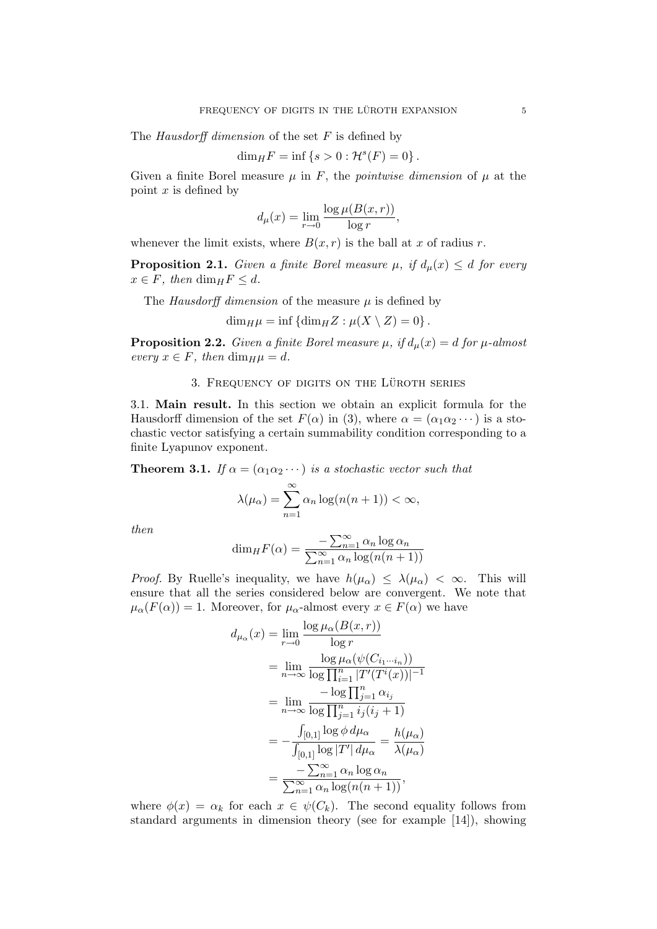The Hausdorff dimension of the set  $F$  is defined by

$$
\dim_H F = \inf \{ s > 0 : \mathcal{H}^s(F) = 0 \}.
$$

Given a finite Borel measure  $\mu$  in F, the *pointwise dimension* of  $\mu$  at the point  $x$  is defined by

$$
d_{\mu}(x) = \lim_{r \to 0} \frac{\log \mu(B(x, r))}{\log r},
$$

whenever the limit exists, where  $B(x, r)$  is the ball at x of radius r.

**Proposition 2.1.** Given a finite Borel measure  $\mu$ , if  $d_{\mu}(x) \leq d$  for every  $x \in F$ , then  $\dim_H F \leq d$ .

The Hausdorff dimension of the measure  $\mu$  is defined by

$$
\dim_H \mu = \inf \{ \dim_H Z : \mu(X \setminus Z) = 0 \}.
$$

**Proposition 2.2.** Given a finite Borel measure  $\mu$ , if  $d_{\mu}(x) = d$  for  $\mu$ -almost every  $x \in F$ , then  $\dim_H \mu = d$ .

### 3. FREQUENCY OF DIGITS ON THE LÜROTH SERIES

3.1. Main result. In this section we obtain an explicit formula for the Hausdorff dimension of the set  $F(\alpha)$  in (3), where  $\alpha = (\alpha_1 \alpha_2 \cdots)$  is a stochastic vector satisfying a certain summability condition corresponding to a finite Lyapunov exponent.

**Theorem 3.1.** If  $\alpha = (\alpha_1 \alpha_2 \cdots)$  is a stochastic vector such that

$$
\lambda(\mu_{\alpha}) = \sum_{n=1}^{\infty} \alpha_n \log(n(n+1)) < \infty,
$$

then

$$
\dim_H F(\alpha) = \frac{-\sum_{n=1}^{\infty} \alpha_n \log \alpha_n}{\sum_{n=1}^{\infty} \alpha_n \log(n(n+1))}
$$

*Proof.* By Ruelle's inequality, we have  $h(\mu_{\alpha}) \leq \lambda(\mu_{\alpha}) < \infty$ . This will ensure that all the series considered below are convergent. We note that  $\mu_{\alpha}(F(\alpha)) = 1$ . Moreover, for  $\mu_{\alpha}$ -almost every  $x \in F(\alpha)$  we have

$$
d_{\mu_{\alpha}}(x) = \lim_{r \to 0} \frac{\log \mu_{\alpha}(B(x, r))}{\log r}
$$
  
\n
$$
= \lim_{n \to \infty} \frac{\log \mu_{\alpha}(\psi(C_{i_1 \cdots i_n}))}{\log \prod_{i=1}^n |T'(T^i(x))|^{-1}}
$$
  
\n
$$
= \lim_{n \to \infty} \frac{-\log \prod_{j=1}^n \alpha_{i_j}}{\log \prod_{j=1}^n i_j (i_j + 1)}
$$
  
\n
$$
= -\frac{\int_{[0,1]} \log \phi \, d\mu_{\alpha}}{\int_{[0,1]} \log |T'| \, d\mu_{\alpha}} = \frac{h(\mu_{\alpha})}{\lambda(\mu_{\alpha})}
$$
  
\n
$$
= \frac{-\sum_{n=1}^\infty \alpha_n \log \alpha_n}{\sum_{n=1}^\infty \alpha_n \log (n(n+1))},
$$

where  $\phi(x) = \alpha_k$  for each  $x \in \psi(C_k)$ . The second equality follows from standard arguments in dimension theory (see for example [14]), showing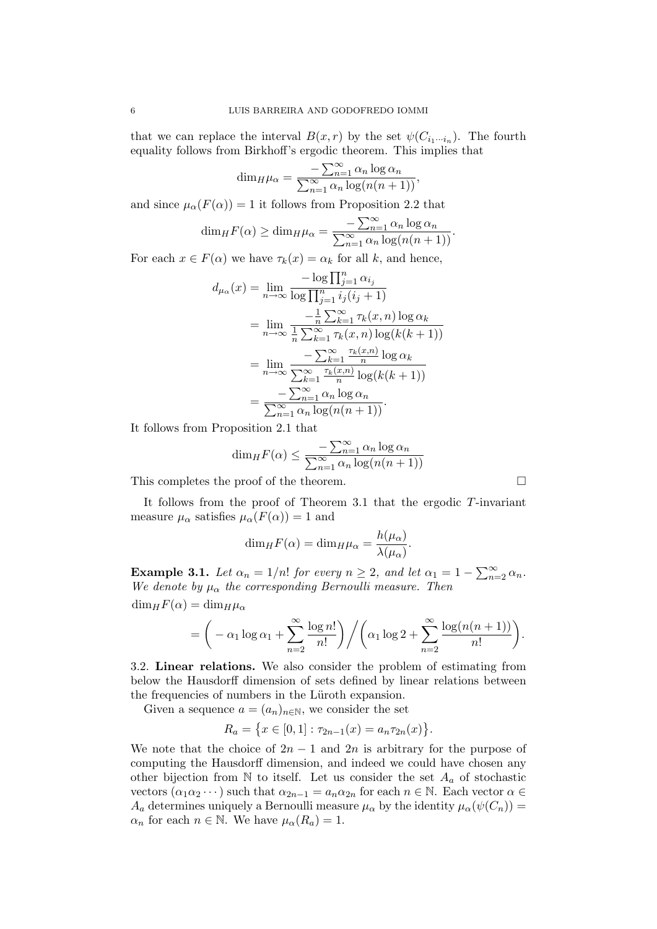that we can replace the interval  $B(x,r)$  by the set  $\psi(C_{i_1\cdots i_n})$ . The fourth equality follows from Birkhoff's ergodic theorem. This implies that

$$
\dim_H \mu_\alpha = \frac{-\sum_{n=1}^{\infty} \alpha_n \log \alpha_n}{\sum_{n=1}^{\infty} \alpha_n \log(n(n+1))},
$$

and since  $\mu_{\alpha}(F(\alpha)) = 1$  it follows from Proposition 2.2 that

$$
\dim_H F(\alpha) \ge \dim_H \mu_\alpha = \frac{-\sum_{n=1}^\infty \alpha_n \log \alpha_n}{\sum_{n=1}^\infty \alpha_n \log (n(n+1))}.
$$

For each  $x \in F(\alpha)$  we have  $\tau_k(x) = \alpha_k$  for all k, and hence,

$$
d_{\mu_{\alpha}}(x) = \lim_{n \to \infty} \frac{-\log \prod_{j=1}^{n} \alpha_{i_j}}{\log \prod_{j=1}^{n} i_j (i_j + 1)}
$$
  
\n
$$
= \lim_{n \to \infty} \frac{-\frac{1}{n} \sum_{k=1}^{\infty} \tau_k(x, n) \log \alpha_k}{\frac{1}{n} \sum_{k=1}^{\infty} \tau_k(x, n) \log(k(k+1))}
$$
  
\n
$$
= \lim_{n \to \infty} \frac{-\sum_{k=1}^{\infty} \frac{\tau_k(x, n)}{n} \log \alpha_k}{\sum_{k=1}^{\infty} \frac{\tau_k(x, n)}{n} \log(k(k+1))}
$$
  
\n
$$
= \frac{-\sum_{n=1}^{\infty} \alpha_n \log \alpha_n}{\sum_{n=1}^{\infty} \alpha_n \log(n(n+1))}.
$$

It follows from Proposition 2.1 that

$$
\dim_{H} F(\alpha) \leq \frac{-\sum_{n=1}^{\infty} \alpha_{n} \log \alpha_{n}}{\sum_{n=1}^{\infty} \alpha_{n} \log(n(n+1))}
$$

This completes the proof of the theorem.

It follows from the proof of Theorem 3.1 that the ergodic  $T$ -invariant measure  $\mu_{\alpha}$  satisfies  $\mu_{\alpha}(F(\alpha)) = 1$  and

$$
\dim_H F(\alpha) = \dim_H \mu_\alpha = \frac{h(\mu_\alpha)}{\lambda(\mu_\alpha)}.
$$

**Example 3.1.** Let  $\alpha_n = 1/n!$  for every  $n \geq 2$ , and let  $\alpha_1 = 1 - \sum_{n=2}^{\infty} \alpha_n$ . We denote by  $\mu_{\alpha}$  the corresponding Bernoulli measure. Then  $\dim_H F(\alpha) = \dim_H \mu_\alpha$ 

$$
= \bigg(-\alpha_1 \log \alpha_1 + \sum_{n=2}^{\infty} \frac{\log n!}{n!} \bigg) \bigg/ \bigg( \alpha_1 \log 2 + \sum_{n=2}^{\infty} \frac{\log (n(n+1))}{n!} \bigg).
$$

3.2. Linear relations. We also consider the problem of estimating from below the Hausdorff dimension of sets defined by linear relations between the frequencies of numbers in the Lüroth expansion.

Given a sequence  $a = (a_n)_{n \in \mathbb{N}}$ , we consider the set

$$
R_a = \{x \in [0,1] : \tau_{2n-1}(x) = a_n \tau_{2n}(x)\}.
$$

We note that the choice of  $2n-1$  and  $2n$  is arbitrary for the purpose of computing the Hausdorff dimension, and indeed we could have chosen any other bijection from N to itself. Let us consider the set  $A_a$  of stochastic vectors  $(\alpha_1 \alpha_2 \cdots)$  such that  $\alpha_{2n-1} = a_n \alpha_{2n}$  for each  $n \in \mathbb{N}$ . Each vector  $\alpha \in$  $A_a$  determines uniquely a Bernoulli measure  $\mu_\alpha$  by the identity  $\mu_\alpha(\psi(C_n)) =$  $\alpha_n$  for each  $n \in \mathbb{N}$ . We have  $\mu_\alpha(R_a) = 1$ .

$$
\boxed{\phantom{0}}
$$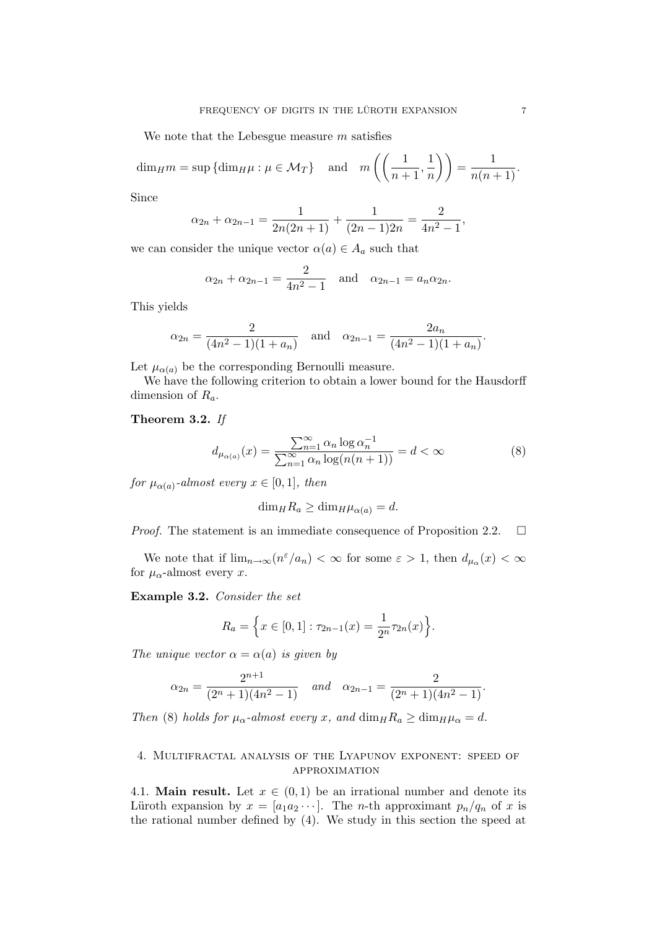We note that the Lebesgue measure  $m$  satisfies

 $\dim_H m = \sup \{ \dim_H \mu : \mu \in \mathcal{M}_T \}$  and  $m \left( \left( \frac{1}{m_H} \right) \right)$  $\frac{1}{n+1}, \frac{1}{n}$  $\left(\frac{1}{n}\right)$  =  $\frac{1}{n(n+1)}$ .

Since

$$
\alpha_{2n} + \alpha_{2n-1} = \frac{1}{2n(2n+1)} + \frac{1}{(2n-1)2n} = \frac{2}{4n^2 - 1},
$$

we can consider the unique vector  $\alpha(a) \in A_a$  such that

$$
\alpha_{2n} + \alpha_{2n-1} = \frac{2}{4n^2 - 1}
$$
 and  $\alpha_{2n-1} = a_n \alpha_{2n}$ .

This yields

$$
\alpha_{2n} = \frac{2}{(4n^2 - 1)(1 + a_n)}
$$
 and  $\alpha_{2n-1} = \frac{2a_n}{(4n^2 - 1)(1 + a_n)}$ .

Let  $\mu_{\alpha}(a)$  be the corresponding Bernoulli measure.

We have the following criterion to obtain a lower bound for the Hausdorff dimension of  $R_a$ .

### Theorem 3.2. If

$$
d_{\mu_{\alpha(a)}}(x) = \frac{\sum_{n=1}^{\infty} \alpha_n \log \alpha_n^{-1}}{\sum_{n=1}^{\infty} \alpha_n \log(n(n+1))} = d < \infty \tag{8}
$$

for  $\mu_{\alpha(a)}$ -almost every  $x \in [0,1]$ , then

$$
\dim_H R_a \ge \dim_H \mu_{\alpha(a)} = d.
$$

*Proof.* The statement is an immediate consequence of Proposition 2.2.  $\Box$ 

We note that if  $\lim_{n\to\infty} (n^{\varepsilon}/a_n) < \infty$  for some  $\varepsilon > 1$ , then  $d_{\mu_\alpha}(x) < \infty$ for  $\mu_{\alpha}$ -almost every x.

Example 3.2. Consider the set

$$
R_a = \left\{ x \in [0,1] : \tau_{2n-1}(x) = \frac{1}{2^n} \tau_{2n}(x) \right\}.
$$

The unique vector  $\alpha = \alpha(a)$  is given by

$$
\alpha_{2n} = \frac{2^{n+1}}{(2^n+1)(4n^2-1)} \quad \text{and} \quad \alpha_{2n-1} = \frac{2}{(2^n+1)(4n^2-1)}.
$$

Then (8) holds for  $\mu_{\alpha}$ -almost every x, and  $\dim_H R_a \geq \dim_H \mu_{\alpha} = d$ .

## 4. Multifractal analysis of the Lyapunov exponent: speed of approximation

4.1. **Main result.** Let  $x \in (0,1)$  be an irrational number and denote its Lüroth expansion by  $x = [a_1 a_2 \cdots]$ . The *n*-th approximant  $p_n/q_n$  of x is the rational number defined by (4). We study in this section the speed at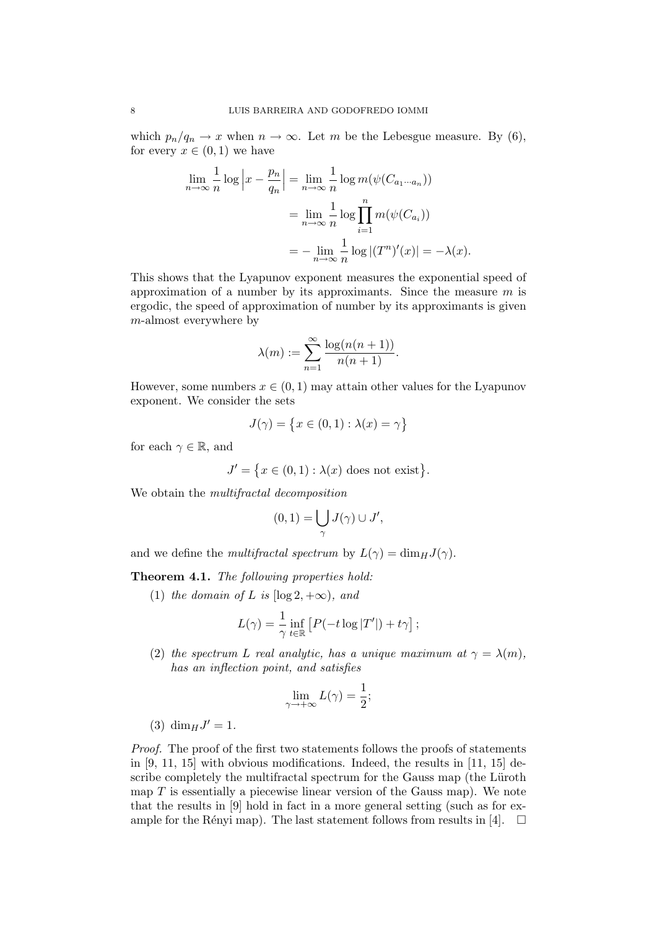which  $p_n/q_n \to x$  when  $n \to \infty$ . Let m be the Lebesgue measure. By (6), for every  $x \in (0,1)$  we have

$$
\lim_{n \to \infty} \frac{1}{n} \log \left| x - \frac{p_n}{q_n} \right| = \lim_{n \to \infty} \frac{1}{n} \log m(\psi(C_{a_1 \cdots a_n}))
$$

$$
= \lim_{n \to \infty} \frac{1}{n} \log \prod_{i=1}^n m(\psi(C_{a_i}))
$$

$$
= -\lim_{n \to \infty} \frac{1}{n} \log |(T^n)'(x)| = -\lambda(x).
$$

This shows that the Lyapunov exponent measures the exponential speed of approximation of a number by its approximants. Since the measure  $m$  is ergodic, the speed of approximation of number by its approximants is given m-almost everywhere by

$$
\lambda(m) := \sum_{n=1}^{\infty} \frac{\log(n(n+1))}{n(n+1)}.
$$

However, some numbers  $x \in (0,1)$  may attain other values for the Lyapunov exponent. We consider the sets

$$
J(\gamma) = \{ x \in (0,1) : \lambda(x) = \gamma \}
$$

for each  $\gamma \in \mathbb{R}$ , and

$$
J' = \{ x \in (0,1) : \lambda(x) \text{ does not exist} \}.
$$

We obtain the multifractal decomposition

$$
(0,1)=\bigcup_{\gamma}J(\gamma)\cup J',
$$

and we define the multifractal spectrum by  $L(\gamma) = \dim_H J(\gamma)$ .

Theorem 4.1. The following properties hold:

(1) the domain of L is  $[\log 2, +\infty)$ , and

$$
L(\gamma) = \frac{1}{\gamma} \inf_{t \in \mathbb{R}} \left[ P(-t \log |T'|) + t\gamma \right];
$$

(2) the spectrum L real analytic, has a unique maximum at  $\gamma = \lambda(m)$ , has an inflection point, and satisfies

$$
\lim_{\gamma \to +\infty} L(\gamma) = \frac{1}{2};
$$

(3)  $\dim_H J' = 1$ .

Proof. The proof of the first two statements follows the proofs of statements in  $[9, 11, 15]$  with obvious modifications. Indeed, the results in  $[11, 15]$  describe completely the multifractal spectrum for the Gauss map (the Lüroth map  $T$  is essentially a piecewise linear version of the Gauss map). We note that the results in [9] hold in fact in a more general setting (such as for example for the Rényi map). The last statement follows from results in [4].  $\Box$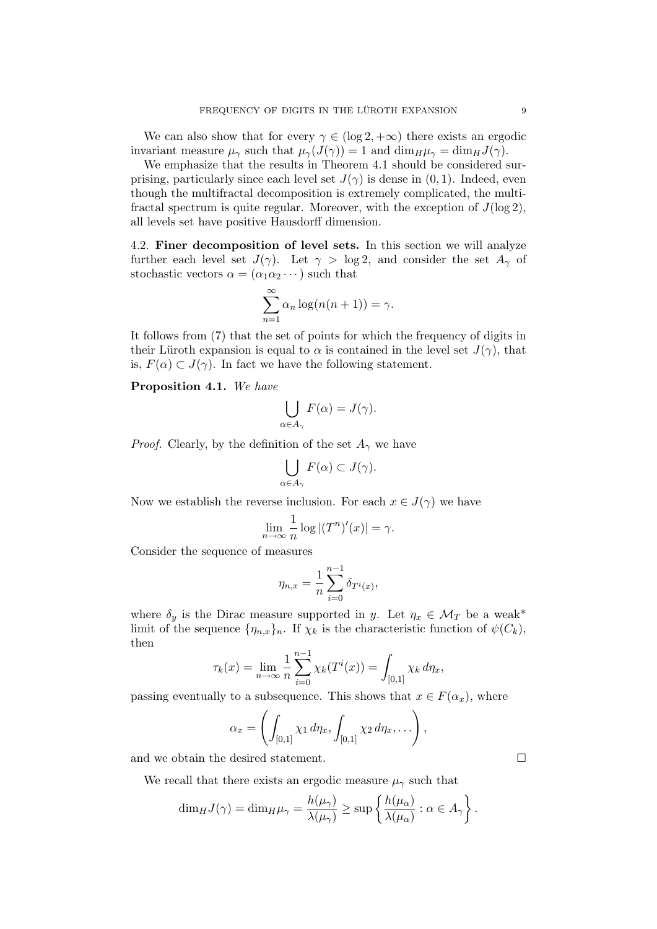We can also show that for every  $\gamma \in (\log 2, +\infty)$  there exists an ergodic invariant measure  $\mu_{\gamma}$  such that  $\mu_{\gamma}(J(\gamma)) = 1$  and  $\dim_H \mu_{\gamma} = \dim_H J(\gamma)$ .

We emphasize that the results in Theorem 4.1 should be considered surprising, particularly since each level set  $J(\gamma)$  is dense in  $(0, 1)$ . Indeed, even though the multifractal decomposition is extremely complicated, the multifractal spectrum is quite regular. Moreover, with the exception of  $J(\log 2)$ , all levels set have positive Hausdorff dimension.

4.2. Finer decomposition of level sets. In this section we will analyze further each level set  $J(\gamma)$ . Let  $\gamma > \log 2$ , and consider the set  $A_{\gamma}$  of stochastic vectors  $\alpha = (\alpha_1 \alpha_2 \cdots)$  such that

$$
\sum_{n=1}^{\infty} \alpha_n \log(n(n+1)) = \gamma.
$$

It follows from (7) that the set of points for which the frequency of digits in their Lüroth expansion is equal to  $\alpha$  is contained in the level set  $J(\gamma)$ , that is,  $F(\alpha) \subset J(\gamma)$ . In fact we have the following statement.

Proposition 4.1. We have

$$
\bigcup_{\alpha \in A_{\gamma}} F(\alpha) = J(\gamma).
$$

*Proof.* Clearly, by the definition of the set  $A_{\gamma}$  we have

$$
\bigcup_{\alpha \in A_{\gamma}} F(\alpha) \subset J(\gamma).
$$

Now we establish the reverse inclusion. For each  $x \in J(\gamma)$  we have

$$
\lim_{n \to \infty} \frac{1}{n} \log |(T^n)'(x)| = \gamma.
$$

Consider the sequence of measures

$$
\eta_{n,x} = \frac{1}{n} \sum_{i=0}^{n-1} \delta_{T^i(x)},
$$

where  $\delta_y$  is the Dirac measure supported in y. Let  $\eta_x \in \mathcal{M}_T$  be a weak\* limit of the sequence  $\{\eta_{n,x}\}_n$ . If  $\chi_k$  is the characteristic function of  $\psi(C_k)$ , then

$$
\tau_k(x) = \lim_{n \to \infty} \frac{1}{n} \sum_{i=0}^{n-1} \chi_k(T^i(x)) = \int_{[0,1]} \chi_k d\eta_x,
$$

passing eventually to a subsequence. This shows that  $x \in F(\alpha_x)$ , where

$$
\alpha_x = \left( \int_{[0,1]} \chi_1 \, d\eta_x, \int_{[0,1]} \chi_2 \, d\eta_x, \ldots \right),
$$

and we obtain the desired statement.  $\Box$ 

We recall that there exists an ergodic measure  $\mu_{\gamma}$  such that

$$
\dim_H J(\gamma) = \dim_H \mu_\gamma = \frac{h(\mu_\gamma)}{\lambda(\mu_\gamma)} \ge \sup \left\{ \frac{h(\mu_\alpha)}{\lambda(\mu_\alpha)} : \alpha \in A_\gamma \right\}.
$$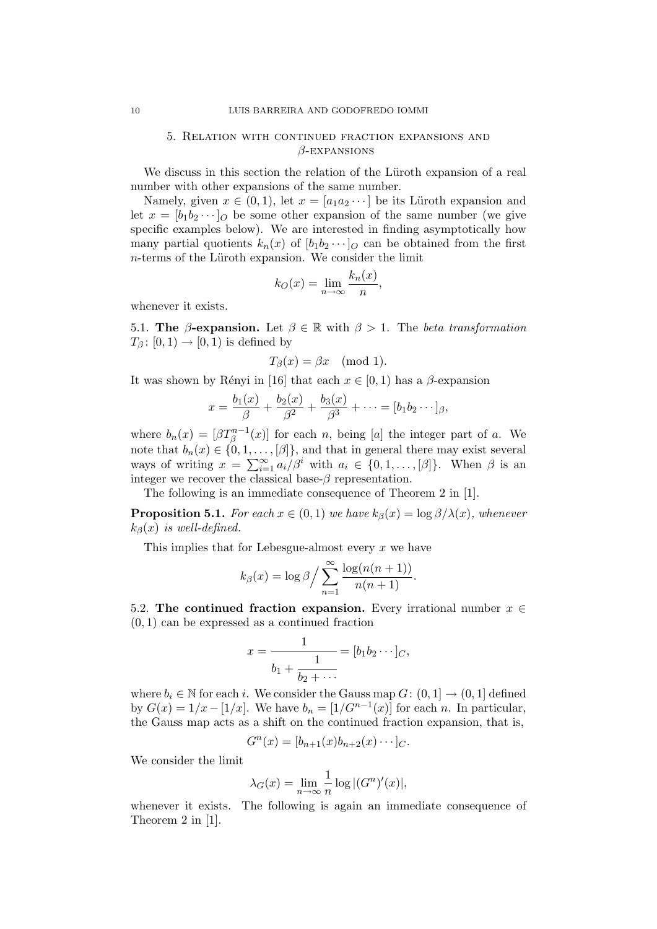## 5. Relation with continued fraction expansions and  $\beta$ -EXPANSIONS

We discuss in this section the relation of the Lüroth expansion of a real number with other expansions of the same number.

Namely, given  $x \in (0,1)$ , let  $x = [a_1 a_2 \cdots]$  be its Lüroth expansion and let  $x = [b_1b_2 \cdots]_O$  be some other expansion of the same number (we give specific examples below). We are interested in finding asymptotically how many partial quotients  $k_n(x)$  of  $[b_1b_2\cdots]_O$  can be obtained from the first  $n$ -terms of the Lüroth expansion. We consider the limit

$$
k_O(x) = \lim_{n \to \infty} \frac{k_n(x)}{n},
$$

whenever it exists.

5.1. The  $\beta$ -expansion. Let  $\beta \in \mathbb{R}$  with  $\beta > 1$ . The beta transformation  $T_\beta$ :  $[0,1) \rightarrow [0,1)$  is defined by

$$
T_{\beta}(x) = \beta x \pmod{1}.
$$

It was shown by Rényi in [16] that each  $x \in [0, 1)$  has a  $\beta$ -expansion

$$
x = \frac{b_1(x)}{\beta} + \frac{b_2(x)}{\beta^2} + \frac{b_3(x)}{\beta^3} + \cdots = [b_1b_2\cdots]_{\beta},
$$

where  $b_n(x) = [\beta T_\beta^{n-1}(x)]$  for each n, being [a] the integer part of a. We note that  $b_n(x) \in \{0, 1, \ldots, [\beta]\}$ , and that in general there may exist several ways of writing  $x = \sum_{i=1}^{\infty} a_i/\beta^i$  with  $a_i \in \{0, 1, ..., [\beta]\}$ . When  $\beta$  is an integer we recover the classical base- $\beta$  representation.

The following is an immediate consequence of Theorem 2 in [1].

**Proposition 5.1.** For each  $x \in (0,1)$  we have  $k_{\beta}(x) = \log \frac{\beta}{\lambda(x)}$ , whenever  $k_{\beta}(x)$  is well-defined.

This implies that for Lebesgue-almost every  $x$  we have

$$
k_{\beta}(x) = \log \beta / \sum_{n=1}^{\infty} \frac{\log(n(n+1))}{n(n+1)}.
$$

5.2. The continued fraction expansion. Every irrational number  $x \in$  $(0, 1)$  can be expressed as a continued fraction

$$
x = \frac{1}{b_1 + \frac{1}{b_2 + \cdots}} = [b_1 b_2 \cdots]_C,
$$

where  $b_i \in \mathbb{N}$  for each i. We consider the Gauss map  $G: (0, 1] \rightarrow (0, 1]$  defined by  $G(x) = 1/x - [1/x]$ . We have  $b_n = [1/G^{n-1}(x)]$  for each n. In particular, the Gauss map acts as a shift on the continued fraction expansion, that is,

$$
G^{n}(x) = [b_{n+1}(x)b_{n+2}(x)\cdots]_{C}.
$$

We consider the limit

$$
\lambda_G(x) = \lim_{n \to \infty} \frac{1}{n} \log |(G^n)'(x)|,
$$

whenever it exists. The following is again an immediate consequence of Theorem 2 in [1].